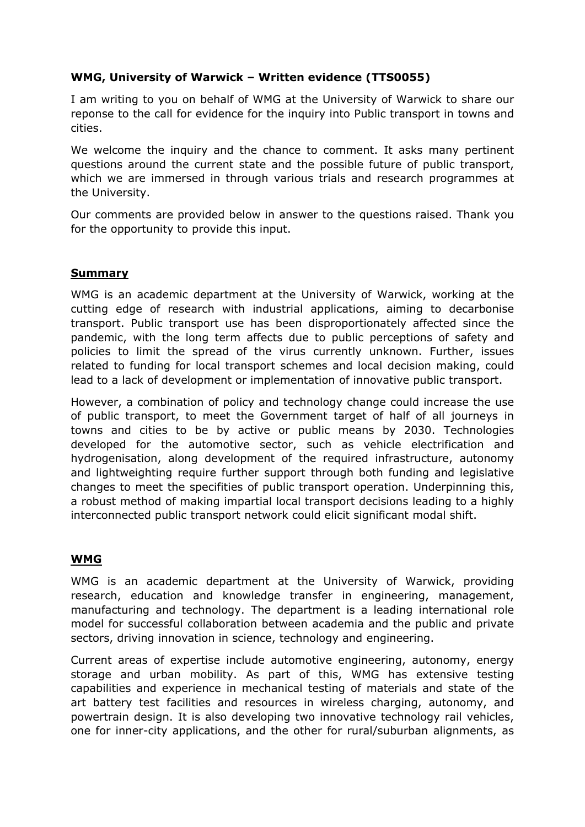## **WMG, University of Warwick – Written evidence (TTS0055)**

I am writing to you on behalf of WMG at the University of Warwick to share our reponse to the call for evidence for the inquiry into Public transport in towns and cities.

We welcome the inquiry and the chance to comment. It asks many pertinent questions around the current state and the possible future of public transport, which we are immersed in through various trials and research programmes at the University.

Our comments are provided below in answer to the questions raised. Thank you for the opportunity to provide this input.

## **Summary**

WMG is an academic department at the University of Warwick, working at the cutting edge of research with industrial applications, aiming to decarbonise transport. Public transport use has been disproportionately affected since the pandemic, with the long term affects due to public perceptions of safety and policies to limit the spread of the virus currently unknown. Further, issues related to funding for local transport schemes and local decision making, could lead to a lack of development or implementation of innovative public transport.

However, a combination of policy and technology change could increase the use of public transport, to meet the Government target of half of all journeys in towns and cities to be by active or public means by 2030. Technologies developed for the automotive sector, such as vehicle electrification and hydrogenisation, along development of the required infrastructure, autonomy and lightweighting require further support through both funding and legislative changes to meet the specifities of public transport operation. Underpinning this, a robust method of making impartial local transport decisions leading to a highly interconnected public transport network could elicit significant modal shift.

## **WMG**

WMG is an academic department at the University of Warwick, providing research, education and knowledge transfer in engineering, management, manufacturing and technology. The department is a leading international role model for successful collaboration between academia and the public and private sectors, driving innovation in science, technology and engineering.

Current areas of expertise include automotive engineering, autonomy, energy storage and urban mobility. As part of this, WMG has extensive testing capabilities and experience in mechanical testing of materials and state of the art battery test facilities and resources in wireless charging, autonomy, and powertrain design. It is also developing two innovative technology rail vehicles, one for inner-city applications, and the other for rural/suburban alignments, as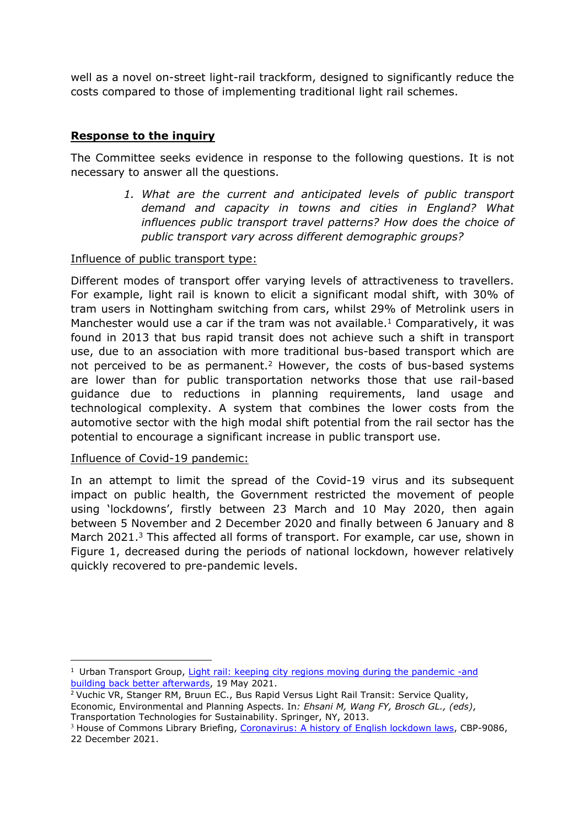well as a novel on-street light-rail trackform, designed to significantly reduce the costs compared to those of implementing traditional light rail schemes.

## **Response to the inquiry**

The Committee seeks evidence in response to the following questions. It is not necessary to answer all the questions.

> *1. What are the current and anticipated levels of public transport demand and capacity in towns and cities in England? What influences public transport travel patterns? How does the choice of public transport vary across different demographic groups?*

### Influence of public transport type:

Different modes of transport offer varying levels of attractiveness to travellers. For example, light rail is known to elicit a significant modal shift, with 30% of tram users in Nottingham switching from cars, whilst 29% of Metrolink users in Manchester would use a car if the tram was not available.<sup>1</sup> Comparatively, it was found in 2013 that bus rapid transit does not achieve such a shift in transport use, due to an association with more traditional bus-based transport which are not perceived to be as permanent.<sup>2</sup> However, the costs of bus-based systems are lower than for public transportation networks those that use rail-based guidance due to reductions in planning requirements, land usage and technological complexity. A system that combines the lower costs from the automotive sector with the high modal shift potential from the rail sector has the potential to encourage a significant increase in public transport use.

#### Influence of Covid-19 pandemic:

In an attempt to limit the spread of the Covid-19 virus and its subsequent impact on public health, the Government restricted the movement of people using 'lockdowns', firstly between 23 March and 10 May 2020, then again between 5 November and 2 December 2020 and finally between 6 January and 8 March 2021.<sup>3</sup> This affected all forms of transport. For example, car use, shown in Figure 1, decreased during the periods of national lockdown, however relatively quickly recovered to pre-pandemic levels.

<sup>&</sup>lt;sup>1</sup> Urban Transport Group, [Light](https://www.urbantransportgroup.org/system/files/general-docs/LRT%20funding%20Factsheet%20Finalv2%2019052021_0_0.pdf) [rail:](https://www.urbantransportgroup.org/system/files/general-docs/LRT%20funding%20Factsheet%20Finalv2%2019052021_0_0.pdf) [keeping](https://www.urbantransportgroup.org/system/files/general-docs/LRT%20funding%20Factsheet%20Finalv2%2019052021_0_0.pdf) [city](https://www.urbantransportgroup.org/system/files/general-docs/LRT%20funding%20Factsheet%20Finalv2%2019052021_0_0.pdf) [regions](https://www.urbantransportgroup.org/system/files/general-docs/LRT%20funding%20Factsheet%20Finalv2%2019052021_0_0.pdf) [moving](https://www.urbantransportgroup.org/system/files/general-docs/LRT%20funding%20Factsheet%20Finalv2%2019052021_0_0.pdf) [during](https://www.urbantransportgroup.org/system/files/general-docs/LRT%20funding%20Factsheet%20Finalv2%2019052021_0_0.pdf) [the](https://www.urbantransportgroup.org/system/files/general-docs/LRT%20funding%20Factsheet%20Finalv2%2019052021_0_0.pdf) [pandemic](https://www.urbantransportgroup.org/system/files/general-docs/LRT%20funding%20Factsheet%20Finalv2%2019052021_0_0.pdf) [-and](https://www.urbantransportgroup.org/system/files/general-docs/LRT%20funding%20Factsheet%20Finalv2%2019052021_0_0.pdf) [building](https://www.urbantransportgroup.org/system/files/general-docs/LRT%20funding%20Factsheet%20Finalv2%2019052021_0_0.pdf) [back](https://www.urbantransportgroup.org/system/files/general-docs/LRT%20funding%20Factsheet%20Finalv2%2019052021_0_0.pdf) [better](https://www.urbantransportgroup.org/system/files/general-docs/LRT%20funding%20Factsheet%20Finalv2%2019052021_0_0.pdf) [afterwards,](https://www.urbantransportgroup.org/system/files/general-docs/LRT%20funding%20Factsheet%20Finalv2%2019052021_0_0.pdf) 19 May 2021.

<sup>2</sup> Vuchic VR, Stanger RM, Bruun EC., Bus Rapid Versus Light Rail Transit: Service Quality, Economic, Environmental and Planning Aspects. In*: Ehsani M, Wang FY, Brosch GL., (eds)*, Transportation Technologies for Sustainability. Spr[in](https://commonslibrary.parliament.uk/research-briefings/cbp-9068/)ger, NY, 2013.

<sup>&</sup>lt;sup>3</sup> House of Commons Library Briefing, [Coronavirus:](https://commonslibrary.parliament.uk/research-briefings/cbp-9068/) [A](https://commonslibrary.parliament.uk/research-briefings/cbp-9068/) [history](https://commonslibrary.parliament.uk/research-briefings/cbp-9068/) [of](https://commonslibrary.parliament.uk/research-briefings/cbp-9068/) [English](https://commonslibrary.parliament.uk/research-briefings/cbp-9068/) [lockdown](https://commonslibrary.parliament.uk/research-briefings/cbp-9068/) [laws](https://commonslibrary.parliament.uk/research-briefings/cbp-9068/), CBP-9086, 22 December 2021.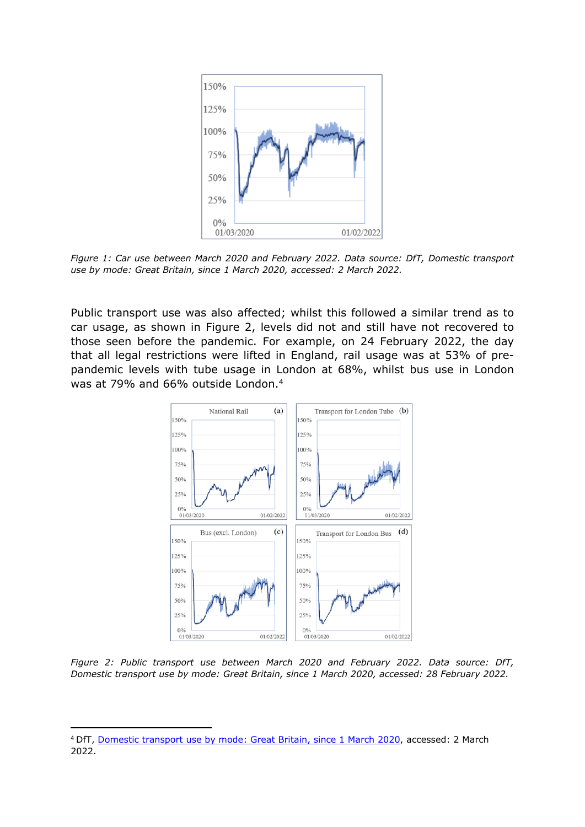

*Figure 1: Car use between March 2020 and February 2022. Data source: DfT, Domestic transport use by mode: Great Britain, since 1 March 2020, accessed: 2 March 2022.*

Public transport use was also affected; whilst this followed a similar trend as to car usage, as shown in Figure 2, levels did not and still have not recovered to those seen before the pandemic. For example, on 24 February 2022, the day that all legal restrictions were lifted in England, rail usage was at 53% of prepandemic levels with tube usage in London at 68%, whilst bus use in London was at 79% and 66% outside London.<sup>4</sup>



*Figure 2: Public transport use between March 2020 and February 2022. Data source: DfT, Domestic transport use by mode: Great Britain, since 1 March 2020, accessed: 28 February 2022.*

<sup>4</sup> DfT, [Domestic](https://www.gov.uk/government/statistics/transport-use-during-the-coronavirus-covid-19-pandemic) [transport](https://www.gov.uk/government/statistics/transport-use-during-the-coronavirus-covid-19-pandemic) [use](https://www.gov.uk/government/statistics/transport-use-during-the-coronavirus-covid-19-pandemic) [by](https://www.gov.uk/government/statistics/transport-use-during-the-coronavirus-covid-19-pandemic) [mode:](https://www.gov.uk/government/statistics/transport-use-during-the-coronavirus-covid-19-pandemic) [Great](https://www.gov.uk/government/statistics/transport-use-during-the-coronavirus-covid-19-pandemic) [Britain,](https://www.gov.uk/government/statistics/transport-use-during-the-coronavirus-covid-19-pandemic) [since](https://www.gov.uk/government/statistics/transport-use-during-the-coronavirus-covid-19-pandemic) [1](https://www.gov.uk/government/statistics/transport-use-during-the-coronavirus-covid-19-pandemic) [March](https://www.gov.uk/government/statistics/transport-use-during-the-coronavirus-covid-19-pandemic) [2020,](https://www.gov.uk/government/statistics/transport-use-during-the-coronavirus-covid-19-pandemic) accessed: 2 March 2022.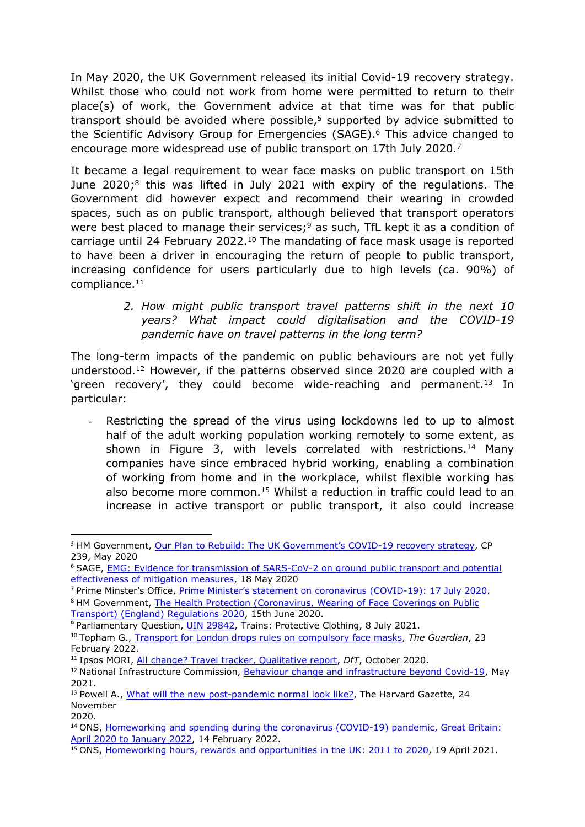In May 2020, the UK Government released its initial Covid-19 recovery strategy. Whilst those who could not work from home were permitted to return to their place(s) of work, the Government advice at that time was for that public transport should be avoided where possible,<sup>5</sup> supported by advice submitted to the Scientific Advisory Group for Emergencies (SAGE).<sup>6</sup> This advice changed to encourage more widespread use of public transport on 17th July 2020.<sup>7</sup>

It became a legal requirement to wear face masks on public transport on 15th June 2020;<sup>8</sup> this was lifted in July 2021 with expiry of the regulations. The Government did however expect and recommend their wearing in crowded spaces, such as on public transport, although believed that transport operators were best placed to manage their services;<sup>9</sup> as such, TfL kept it as a condition of carriage until 24 February 2022.<sup>10</sup> The mandating of face mask usage is reported to have been a driver in encouraging the return of people to public transport, increasing confidence for users particularly due to high levels (ca. 90%) of compliance.<sup>11</sup>

> *2. How might public transport travel patterns shift in the next 10 years? What impact could digitalisation and the COVID-19 pandemic have on travel patterns in the long term?*

The long-term impacts of the pandemic on public behaviours are not yet fully understood.<sup>12</sup> However, if the patterns observed since 2020 are coupled with a 'green recovery', they could become wide-reaching and permanent.<sup>13</sup> In particular:

- Restricting the spread of the virus using lockdowns led to up to almost half of the adult working population working remotely to some extent, as shown in Figure 3, with levels correlated with restrictions.<sup>14</sup> Many companies have since embraced hybrid working, enabling a combination of working from home and in the workplace, whilst flexible working has also become more common.<sup>15</sup> Whilst a reduction in traffic could lead to an increase in active transport or public transport, it also could increase

<sup>&</sup>lt;sup>5</sup> HM Government, [Our](https://www.gov.uk/government/publications/our-plan-to-rebuild-the-uk-governments-covid-19-recovery-strategy) [Plan](https://www.gov.uk/government/publications/our-plan-to-rebuild-the-uk-governments-covid-19-recovery-strategy) [to](https://www.gov.uk/government/publications/our-plan-to-rebuild-the-uk-governments-covid-19-recovery-strategy) [Rebuild:](https://www.gov.uk/government/publications/our-plan-to-rebuild-the-uk-governments-covid-19-recovery-strategy) [The](https://www.gov.uk/government/publications/our-plan-to-rebuild-the-uk-governments-covid-19-recovery-strategy) [UK](https://www.gov.uk/government/publications/our-plan-to-rebuild-the-uk-governments-covid-19-recovery-strategy) [Government's](https://www.gov.uk/government/publications/our-plan-to-rebuild-the-uk-governments-covid-19-recovery-strategy) [COVID-19](https://www.gov.uk/government/publications/our-plan-to-rebuild-the-uk-governments-covid-19-recovery-strategy) [recovery](https://www.gov.uk/government/publications/our-plan-to-rebuild-the-uk-governments-covid-19-recovery-strategy) [strategy](https://www.gov.uk/government/publications/our-plan-to-rebuild-the-uk-governments-covid-19-recovery-strategy), CP 239, May 2020

<sup>6</sup> SAGE, [EMG:](https://www.gov.uk/government/publications/emg-evidence-for-transmission-of-sars-cov-2-on-ground-public-transport-and-potential-effectiveness-of-mitigation-measures-18-may-2020) [Evidence](https://www.gov.uk/government/publications/emg-evidence-for-transmission-of-sars-cov-2-on-ground-public-transport-and-potential-effectiveness-of-mitigation-measures-18-may-2020) [for](https://www.gov.uk/government/publications/emg-evidence-for-transmission-of-sars-cov-2-on-ground-public-transport-and-potential-effectiveness-of-mitigation-measures-18-may-2020) [transmission](https://www.gov.uk/government/publications/emg-evidence-for-transmission-of-sars-cov-2-on-ground-public-transport-and-potential-effectiveness-of-mitigation-measures-18-may-2020) [of](https://www.gov.uk/government/publications/emg-evidence-for-transmission-of-sars-cov-2-on-ground-public-transport-and-potential-effectiveness-of-mitigation-measures-18-may-2020) [SARS-CoV-2](https://www.gov.uk/government/publications/emg-evidence-for-transmission-of-sars-cov-2-on-ground-public-transport-and-potential-effectiveness-of-mitigation-measures-18-may-2020) [on](https://www.gov.uk/government/publications/emg-evidence-for-transmission-of-sars-cov-2-on-ground-public-transport-and-potential-effectiveness-of-mitigation-measures-18-may-2020) [ground](https://www.gov.uk/government/publications/emg-evidence-for-transmission-of-sars-cov-2-on-ground-public-transport-and-potential-effectiveness-of-mitigation-measures-18-may-2020) [public](https://www.gov.uk/government/publications/emg-evidence-for-transmission-of-sars-cov-2-on-ground-public-transport-and-potential-effectiveness-of-mitigation-measures-18-may-2020) [transport](https://www.gov.uk/government/publications/emg-evidence-for-transmission-of-sars-cov-2-on-ground-public-transport-and-potential-effectiveness-of-mitigation-measures-18-may-2020) [and](https://www.gov.uk/government/publications/emg-evidence-for-transmission-of-sars-cov-2-on-ground-public-transport-and-potential-effectiveness-of-mitigation-measures-18-may-2020) [potential](https://www.gov.uk/government/publications/emg-evidence-for-transmission-of-sars-cov-2-on-ground-public-transport-and-potential-effectiveness-of-mitigation-measures-18-may-2020) [effectiveness](https://www.gov.uk/government/publications/emg-evidence-for-transmission-of-sars-cov-2-on-ground-public-transport-and-potential-effectiveness-of-mitigation-measures-18-may-2020) [of](https://www.gov.uk/government/publications/emg-evidence-for-transmission-of-sars-cov-2-on-ground-public-transport-and-potential-effectiveness-of-mitigation-measures-18-may-2020) [mitigation](https://www.gov.uk/government/publications/emg-evidence-for-transmission-of-sars-cov-2-on-ground-public-transport-and-potential-effectiveness-of-mitigation-measures-18-may-2020) [measures](https://www.gov.uk/government/publications/emg-evidence-for-transmission-of-sars-cov-2-on-ground-public-transport-and-potential-effectiveness-of-mitigation-measures-18-may-2020), 18 May 2020

<sup>&</sup>lt;sup>7</sup> [Prime](https://www.gov.uk/government/speeches/pm-statement-on-coronavirus-17-july-2020) Minster's Office, Prime [Minister's](https://www.gov.uk/government/speeches/pm-statement-on-coronavirus-17-july-2020) [statement](https://www.gov.uk/government/speeches/pm-statement-on-coronavirus-17-july-2020) [on](https://www.gov.uk/government/speeches/pm-statement-on-coronavirus-17-july-2020) [coronavirus](https://www.gov.uk/government/speeches/pm-statement-on-coronavirus-17-july-2020) [\(COVID-19\):](https://www.gov.uk/government/speeches/pm-statement-on-coronavirus-17-july-2020) [17](https://www.gov.uk/government/speeches/pm-statement-on-coronavirus-17-july-2020) [July](https://www.gov.uk/government/speeches/pm-statement-on-coronavirus-17-july-2020) [2020.](https://www.gov.uk/government/speeches/pm-statement-on-coronavirus-17-july-2020) 8 HM Government, [The](https://www.legislation.gov.uk/uksi/2020/592/contents/made) [Health](https://www.legislation.gov.uk/uksi/2020/592/contents/made) [Protection](https://www.legislation.gov.uk/uksi/2020/592/contents/made) [\(Coronavirus,](https://www.legislation.gov.uk/uksi/2020/592/contents/made) [Wearing](https://www.legislation.gov.uk/uksi/2020/592/contents/made) [of](https://www.legislation.gov.uk/uksi/2020/592/contents/made) [Face](https://www.legislation.gov.uk/uksi/2020/592/contents/made) [Coverings](https://www.legislation.gov.uk/uksi/2020/592/contents/made) [on](https://www.legislation.gov.uk/uksi/2020/592/contents/made) [Public](https://www.legislation.gov.uk/uksi/2020/592/contents/made) [Transport\)](https://www.legislation.gov.uk/uksi/2020/592/contents/made) [\(England\)](https://www.legislation.gov.uk/uksi/2020/592/contents/made) [Regulations](https://www.legislation.gov.uk/uksi/2020/592/contents/made) [2020](https://www.legislation.gov.uk/uksi/2020/592/contents/made), 15th June 2020.

<sup>9</sup> Parliamentary Question, [UIN](https://questions-statements.parliament.uk/written-questions/detail/2021-07-08/29842) [29842,](https://questions-statements.parliament.uk/written-questions/detail/2021-07-08/29842) Trains: Protective Clothing, 8 July 2021.

<sup>10</sup> Topham G., [Transport](https://www.theguardian.com/uk-news/2022/feb/23/transport-for-london-drops-rules-on-compulsory-face-masks) [for](https://www.theguardian.com/uk-news/2022/feb/23/transport-for-london-drops-rules-on-compulsory-face-masks) [London](https://www.theguardian.com/uk-news/2022/feb/23/transport-for-london-drops-rules-on-compulsory-face-masks) [drops](https://www.theguardian.com/uk-news/2022/feb/23/transport-for-london-drops-rules-on-compulsory-face-masks) [rules](https://www.theguardian.com/uk-news/2022/feb/23/transport-for-london-drops-rules-on-compulsory-face-masks) [on](https://www.theguardian.com/uk-news/2022/feb/23/transport-for-london-drops-rules-on-compulsory-face-masks) [compulsory](https://www.theguardian.com/uk-news/2022/feb/23/transport-for-london-drops-rules-on-compulsory-face-masks) [face](https://www.theguardian.com/uk-news/2022/feb/23/transport-for-london-drops-rules-on-compulsory-face-masks) [masks](https://www.theguardian.com/uk-news/2022/feb/23/transport-for-london-drops-rules-on-compulsory-face-masks), *The Guardian*, 23 February 2022.

<sup>11</sup> Ipsos MORI, [All](https://www.gov.uk/government/publications/covid-19-travel-behaviour-during-the-lockdown) [change?](https://www.gov.uk/government/publications/covid-19-travel-behaviour-during-the-lockdown) [Travel](https://www.gov.uk/government/publications/covid-19-travel-behaviour-during-the-lockdown) [tracker,](https://www.gov.uk/government/publications/covid-19-travel-behaviour-during-the-lockdown) [Qualitative](https://www.gov.uk/government/publications/covid-19-travel-behaviour-during-the-lockdown) [report](https://www.gov.uk/government/publications/covid-19-travel-behaviour-during-the-lockdown), *DfT*, October 2020.

<sup>12</sup> National Infrastructure Commission, [Behaviour](https://nic.org.uk/app/uploads/Behaviour-change-and-infrastructure-beyond-Covid19-May-2021.pdf) [change](https://nic.org.uk/app/uploads/Behaviour-change-and-infrastructure-beyond-Covid19-May-2021.pdf) [and](https://nic.org.uk/app/uploads/Behaviour-change-and-infrastructure-beyond-Covid19-May-2021.pdf) [infrastructure](https://nic.org.uk/app/uploads/Behaviour-change-and-infrastructure-beyond-Covid19-May-2021.pdf) [beyond](https://nic.org.uk/app/uploads/Behaviour-change-and-infrastructure-beyond-Covid19-May-2021.pdf) [Covid-19,](https://nic.org.uk/app/uploads/Behaviour-change-and-infrastructure-beyond-Covid19-May-2021.pdf) May 2021.

<sup>&</sup>lt;sup>13</sup> Powell A., [What](https://news.harvard.edu/gazette/story/2020/11/our-post-pandemic-world-and-whats-likely-to-hang-round/) [will](https://news.harvard.edu/gazette/story/2020/11/our-post-pandemic-world-and-whats-likely-to-hang-round/) [the](https://news.harvard.edu/gazette/story/2020/11/our-post-pandemic-world-and-whats-likely-to-hang-round/) [new](https://news.harvard.edu/gazette/story/2020/11/our-post-pandemic-world-and-whats-likely-to-hang-round/) [post-pandemic](https://news.harvard.edu/gazette/story/2020/11/our-post-pandemic-world-and-whats-likely-to-hang-round/) [normal](https://news.harvard.edu/gazette/story/2020/11/our-post-pandemic-world-and-whats-likely-to-hang-round/) [look](https://news.harvard.edu/gazette/story/2020/11/our-post-pandemic-world-and-whats-likely-to-hang-round/) [like?,](https://news.harvard.edu/gazette/story/2020/11/our-post-pandemic-world-and-whats-likely-to-hang-round/) The Harvard Gazette, 24 November

<sup>2020.</sup>

<sup>14</sup> ONS, [Homeworking](https://www.ons.gov.uk/employmentandlabourmarket/peopleinwork/employmentandemployeetypes/articles/homeworkingandspendingduringthecoronaviruscovid19pandemicgreatbritain/april2020tojanuary2022) [and](https://www.ons.gov.uk/employmentandlabourmarket/peopleinwork/employmentandemployeetypes/articles/homeworkingandspendingduringthecoronaviruscovid19pandemicgreatbritain/april2020tojanuary2022) [spending](https://www.ons.gov.uk/employmentandlabourmarket/peopleinwork/employmentandemployeetypes/articles/homeworkingandspendingduringthecoronaviruscovid19pandemicgreatbritain/april2020tojanuary2022) [during](https://www.ons.gov.uk/employmentandlabourmarket/peopleinwork/employmentandemployeetypes/articles/homeworkingandspendingduringthecoronaviruscovid19pandemicgreatbritain/april2020tojanuary2022) [the](https://www.ons.gov.uk/employmentandlabourmarket/peopleinwork/employmentandemployeetypes/articles/homeworkingandspendingduringthecoronaviruscovid19pandemicgreatbritain/april2020tojanuary2022) [coronavirus](https://www.ons.gov.uk/employmentandlabourmarket/peopleinwork/employmentandemployeetypes/articles/homeworkingandspendingduringthecoronaviruscovid19pandemicgreatbritain/april2020tojanuary2022) [\(COVID-19\)](https://www.ons.gov.uk/employmentandlabourmarket/peopleinwork/employmentandemployeetypes/articles/homeworkingandspendingduringthecoronaviruscovid19pandemicgreatbritain/april2020tojanuary2022) [pandemic,](https://www.ons.gov.uk/employmentandlabourmarket/peopleinwork/employmentandemployeetypes/articles/homeworkingandspendingduringthecoronaviruscovid19pandemicgreatbritain/april2020tojanuary2022) [Great](https://www.ons.gov.uk/employmentandlabourmarket/peopleinwork/employmentandemployeetypes/articles/homeworkingandspendingduringthecoronaviruscovid19pandemicgreatbritain/april2020tojanuary2022) [Britain:](https://www.ons.gov.uk/employmentandlabourmarket/peopleinwork/employmentandemployeetypes/articles/homeworkingandspendingduringthecoronaviruscovid19pandemicgreatbritain/april2020tojanuary2022) [April](https://www.ons.gov.uk/employmentandlabourmarket/peopleinwork/employmentandemployeetypes/articles/homeworkingandspendingduringthecoronaviruscovid19pandemicgreatbritain/april2020tojanuary2022) [2020](https://www.ons.gov.uk/employmentandlabourmarket/peopleinwork/employmentandemployeetypes/articles/homeworkingandspendingduringthecoronaviruscovid19pandemicgreatbritain/april2020tojanuary2022) [to](https://www.ons.gov.uk/employmentandlabourmarket/peopleinwork/employmentandemployeetypes/articles/homeworkingandspendingduringthecoronaviruscovid19pandemicgreatbritain/april2020tojanuary2022) [January](https://www.ons.gov.uk/employmentandlabourmarket/peopleinwork/employmentandemployeetypes/articles/homeworkingandspendingduringthecoronaviruscovid19pandemicgreatbritain/april2020tojanuary2022) [2022](https://www.ons.gov.uk/employmentandlabourmarket/peopleinwork/employmentandemployeetypes/articles/homeworkingandspendingduringthecoronaviruscovid19pandemicgreatbritain/april2020tojanuary2022), 14 February 2022.

<sup>15</sup> ONS, [Homeworking](https://www.ons.gov.uk/employmentandlabourmarket/peopleinwork/labourproductivity/articles/homeworkinghoursrewardsandopportunitiesintheuk2011to2020/2021-04-19) [hours,](https://www.ons.gov.uk/employmentandlabourmarket/peopleinwork/labourproductivity/articles/homeworkinghoursrewardsandopportunitiesintheuk2011to2020/2021-04-19) [rewards](https://www.ons.gov.uk/employmentandlabourmarket/peopleinwork/labourproductivity/articles/homeworkinghoursrewardsandopportunitiesintheuk2011to2020/2021-04-19) [and](https://www.ons.gov.uk/employmentandlabourmarket/peopleinwork/labourproductivity/articles/homeworkinghoursrewardsandopportunitiesintheuk2011to2020/2021-04-19) [opportunities](https://www.ons.gov.uk/employmentandlabourmarket/peopleinwork/labourproductivity/articles/homeworkinghoursrewardsandopportunitiesintheuk2011to2020/2021-04-19) [in](https://www.ons.gov.uk/employmentandlabourmarket/peopleinwork/labourproductivity/articles/homeworkinghoursrewardsandopportunitiesintheuk2011to2020/2021-04-19) [the](https://www.ons.gov.uk/employmentandlabourmarket/peopleinwork/labourproductivity/articles/homeworkinghoursrewardsandopportunitiesintheuk2011to2020/2021-04-19) [UK:](https://www.ons.gov.uk/employmentandlabourmarket/peopleinwork/labourproductivity/articles/homeworkinghoursrewardsandopportunitiesintheuk2011to2020/2021-04-19) [2011](https://www.ons.gov.uk/employmentandlabourmarket/peopleinwork/labourproductivity/articles/homeworkinghoursrewardsandopportunitiesintheuk2011to2020/2021-04-19) [to](https://www.ons.gov.uk/employmentandlabourmarket/peopleinwork/labourproductivity/articles/homeworkinghoursrewardsandopportunitiesintheuk2011to2020/2021-04-19) [2020](https://www.ons.gov.uk/employmentandlabourmarket/peopleinwork/labourproductivity/articles/homeworkinghoursrewardsandopportunitiesintheuk2011to2020/2021-04-19), 19 April 2021.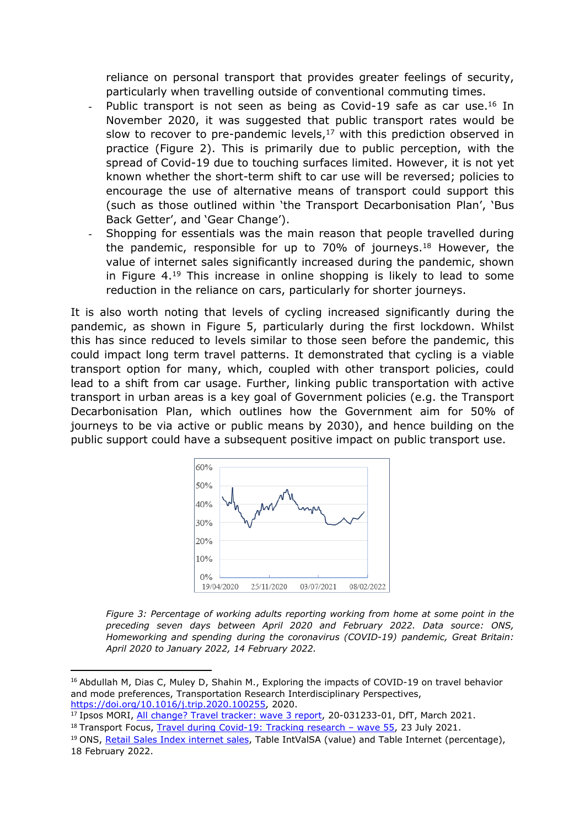reliance on personal transport that provides greater feelings of security, particularly when travelling outside of conventional commuting times.

- Public transport is not seen as being as Covid-19 safe as car use.<sup>16</sup> In November 2020, it was suggested that public transport rates would be slow to recover to pre-pandemic levels, $17$  with this prediction observed in practice (Figure 2). This is primarily due to public perception, with the spread of Covid-19 due to touching surfaces limited. However, it is not yet known whether the short-term shift to car use will be reversed; policies to encourage the use of alternative means of transport could support this (such as those outlined within 'the Transport Decarbonisation Plan', 'Bus Back Getter', and 'Gear Change').
- Shopping for essentials was the main reason that people travelled during the pandemic, responsible for up to 70% of journeys.<sup>18</sup> However, the value of internet sales significantly increased during the pandemic, shown in Figure 4.<sup>19</sup> This increase in online shopping is likely to lead to some reduction in the reliance on cars, particularly for shorter journeys.

It is also worth noting that levels of cycling increased significantly during the pandemic, as shown in Figure 5, particularly during the first lockdown. Whilst this has since reduced to levels similar to those seen before the pandemic, this could impact long term travel patterns. It demonstrated that cycling is a viable transport option for many, which, coupled with other transport policies, could lead to a shift from car usage. Further, linking public transportation with active transport in urban areas is a key goal of Government policies (e.g. the Transport Decarbonisation Plan, which outlines how the Government aim for 50% of journeys to be via active or public means by 2030), and hence building on the public support could have a subsequent positive impact on public transport use.



*Figure 3: Percentage of working adults reporting working from home at some point in the preceding seven days between April 2020 and February 2022. Data source: ONS, Homeworking and spending during the coronavirus (COVID-19) pandemic, Great Britain: April 2020 to January 2022, 14 February 2022.*

<sup>&</sup>lt;sup>16</sup> Abdullah M, Dias C, Muley D, Shahin M., Exploring the impacts of COVID-19 on travel behavior and mode preferences, Transportation Research Interdisciplinary Perspectives, <https://doi.org/10.1016/j.trip.2020.100255>, 2[02](https://www.gov.uk/government/publications/covid-19-travel-behaviour-during-the-lockdown)0.

<sup>17</sup> Ipsos MORI, [All](https://www.gov.uk/government/publications/covid-19-travel-behaviour-during-the-lockdown) [change?](https://www.gov.uk/government/publications/covid-19-travel-behaviour-during-the-lockdown) [Travel](https://www.gov.uk/government/publications/covid-19-travel-behaviour-during-the-lockdown) [tracker:](https://www.gov.uk/government/publications/covid-19-travel-behaviour-during-the-lockdown) [wave](https://www.gov.uk/government/publications/covid-19-travel-behaviour-during-the-lockdown) [3](https://www.gov.uk/government/publications/covid-19-travel-behaviour-during-the-lockdown) [report,](https://www.gov.uk/government/publications/covid-19-travel-behaviour-during-the-lockdown) 20-031233-01, DfT, March 2021.

<sup>&</sup>lt;sup>18</sup> Transport Focus, [Travel](https://d3cez36w5wymxj.cloudfront.net/wp-content/uploads/2021/07/23103500/Travel-during-Covid-19-survey-23-July-2021.pdf) [during](https://d3cez36w5wymxj.cloudfront.net/wp-content/uploads/2021/07/23103500/Travel-during-Covid-19-survey-23-July-2021.pdf) [Covid-19:](https://d3cez36w5wymxj.cloudfront.net/wp-content/uploads/2021/07/23103500/Travel-during-Covid-19-survey-23-July-2021.pdf) [Tracking](https://d3cez36w5wymxj.cloudfront.net/wp-content/uploads/2021/07/23103500/Travel-during-Covid-19-survey-23-July-2021.pdf) [research](https://d3cez36w5wymxj.cloudfront.net/wp-content/uploads/2021/07/23103500/Travel-during-Covid-19-survey-23-July-2021.pdf) [–](https://d3cez36w5wymxj.cloudfront.net/wp-content/uploads/2021/07/23103500/Travel-during-Covid-19-survey-23-July-2021.pdf) [wave](https://d3cez36w5wymxj.cloudfront.net/wp-content/uploads/2021/07/23103500/Travel-during-Covid-19-survey-23-July-2021.pdf) [55,](https://d3cez36w5wymxj.cloudfront.net/wp-content/uploads/2021/07/23103500/Travel-during-Covid-19-survey-23-July-2021.pdf) 23 July 2021.

<sup>&</sup>lt;sup>19</sup> ONS, [Retail](https://www.ons.gov.uk/businessindustryandtrade/retailindustry/datasets/retailsalesindexinternetsales) [Sales](https://www.ons.gov.uk/businessindustryandtrade/retailindustry/datasets/retailsalesindexinternetsales) [Index](https://www.ons.gov.uk/businessindustryandtrade/retailindustry/datasets/retailsalesindexinternetsales) [internet](https://www.ons.gov.uk/businessindustryandtrade/retailindustry/datasets/retailsalesindexinternetsales) [sales](https://www.ons.gov.uk/businessindustryandtrade/retailindustry/datasets/retailsalesindexinternetsales), Table IntValSA (value) and Table Internet (percentage), 18 February 2022.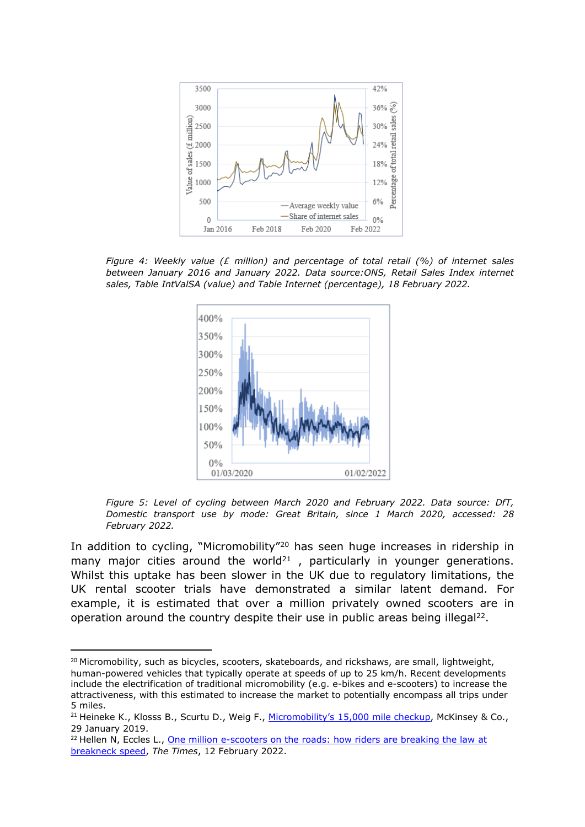

*Figure 4: Weekly value (£ million) and percentage of total retail (%) of internet sales between January 2016 and January 2022. Data source:ONS, Retail Sales Index internet sales, Table IntValSA (value) and Table Internet (percentage), 18 February 2022.*



*Figure 5: Level of cycling between March 2020 and February 2022. Data source: DfT, Domestic transport use by mode: Great Britain, since 1 March 2020, accessed: 28 February 2022.*

In addition to cycling, "Micromobility"<sup>20</sup> has seen huge increases in ridership in many major cities around the world<sup>21</sup>, particularly in younger generations. Whilst this uptake has been slower in the UK due to regulatory limitations, the UK rental scooter trials have demonstrated a similar latent demand. For example, it is estimated that over a million privately owned scooters are in operation around the country despite their use in public areas being illegal<sup>22</sup>.

<sup>&</sup>lt;sup>20</sup> Micromobility, such as bicycles, scooters, skateboards, and rickshaws, are small, lightweight, human-powered vehicles that typically operate at speeds of up to 25 km/h. Recent developments include the electrification of traditional micromobility (e.g. e-bikes and e-scooters) to increase the attractiveness, with this estimated to increase the market to potentially encompass all trips under 5 miles.

<sup>&</sup>lt;sup>21</sup> Heineke K., Klosss B., Scurtu D., Weig F., [Micromobility's](https://www.mckinsey.com/industries/automotive-and-assembly/our-insights/micromobilitys-15000-mile-checkup) [15,000](https://www.mckinsey.com/industries/automotive-and-assembly/our-insights/micromobilitys-15000-mile-checkup) [mile](https://www.mckinsey.com/industries/automotive-and-assembly/our-insights/micromobilitys-15000-mile-checkup) [checkup](https://www.mckinsey.com/industries/automotive-and-assembly/our-insights/micromobilitys-15000-mile-checkup), McKinsey & Co., 29 January 2019.

<sup>&</sup>lt;sup>22</sup> Hellen N, Eccles L., **[One](https://www.thetimes.co.uk/article/one-million-e-scooters-on-the-roads-how-riders-are-breaking-the-law-at-breakneck-speed-q9wfh903w) [million](https://www.thetimes.co.uk/article/one-million-e-scooters-on-the-roads-how-riders-are-breaking-the-law-at-breakneck-speed-q9wfh903w) [e-scooters](https://www.thetimes.co.uk/article/one-million-e-scooters-on-the-roads-how-riders-are-breaking-the-law-at-breakneck-speed-q9wfh903w) [on](https://www.thetimes.co.uk/article/one-million-e-scooters-on-the-roads-how-riders-are-breaking-the-law-at-breakneck-speed-q9wfh903w) [the](https://www.thetimes.co.uk/article/one-million-e-scooters-on-the-roads-how-riders-are-breaking-the-law-at-breakneck-speed-q9wfh903w) [roads:](https://www.thetimes.co.uk/article/one-million-e-scooters-on-the-roads-how-riders-are-breaking-the-law-at-breakneck-speed-q9wfh903w) [how](https://www.thetimes.co.uk/article/one-million-e-scooters-on-the-roads-how-riders-are-breaking-the-law-at-breakneck-speed-q9wfh903w) [riders](https://www.thetimes.co.uk/article/one-million-e-scooters-on-the-roads-how-riders-are-breaking-the-law-at-breakneck-speed-q9wfh903w) [are](https://www.thetimes.co.uk/article/one-million-e-scooters-on-the-roads-how-riders-are-breaking-the-law-at-breakneck-speed-q9wfh903w) [breaking](https://www.thetimes.co.uk/article/one-million-e-scooters-on-the-roads-how-riders-are-breaking-the-law-at-breakneck-speed-q9wfh903w) the [law](https://www.thetimes.co.uk/article/one-million-e-scooters-on-the-roads-how-riders-are-breaking-the-law-at-breakneck-speed-q9wfh903w) [at](https://www.thetimes.co.uk/article/one-million-e-scooters-on-the-roads-how-riders-are-breaking-the-law-at-breakneck-speed-q9wfh903w)** [breakneck](https://www.thetimes.co.uk/article/one-million-e-scooters-on-the-roads-how-riders-are-breaking-the-law-at-breakneck-speed-q9wfh903w) [speed](https://www.thetimes.co.uk/article/one-million-e-scooters-on-the-roads-how-riders-are-breaking-the-law-at-breakneck-speed-q9wfh903w), *The Times*, 12 February 2022.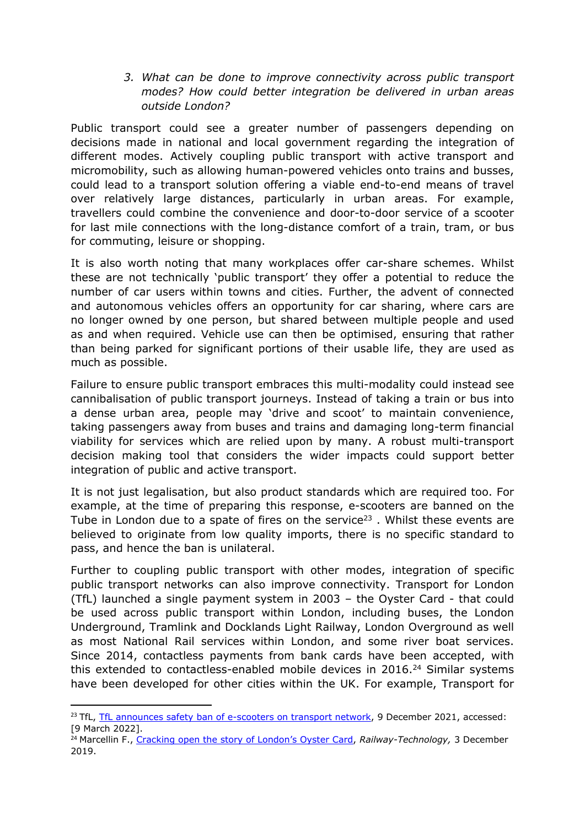*3. What can be done to improve connectivity across public transport modes? How could better integration be delivered in urban areas outside London?*

Public transport could see a greater number of passengers depending on decisions made in national and local government regarding the integration of different modes. Actively coupling public transport with active transport and micromobility, such as allowing human-powered vehicles onto trains and busses, could lead to a transport solution offering a viable end-to-end means of travel over relatively large distances, particularly in urban areas. For example, travellers could combine the convenience and door-to-door service of a scooter for last mile connections with the long-distance comfort of a train, tram, or bus for commuting, leisure or shopping.

It is also worth noting that many workplaces offer car-share schemes. Whilst these are not technically 'public transport' they offer a potential to reduce the number of car users within towns and cities. Further, the advent of connected and autonomous vehicles offers an opportunity for car sharing, where cars are no longer owned by one person, but shared between multiple people and used as and when required. Vehicle use can then be optimised, ensuring that rather than being parked for significant portions of their usable life, they are used as much as possible.

Failure to ensure public transport embraces this multi-modality could instead see cannibalisation of public transport journeys. Instead of taking a train or bus into a dense urban area, people may 'drive and scoot' to maintain convenience, taking passengers away from buses and trains and damaging long-term financial viability for services which are relied upon by many. A robust multi-transport decision making tool that considers the wider impacts could support better integration of public and active transport.

It is not just legalisation, but also product standards which are required too. For example, at the time of preparing this response, e-scooters are banned on the Tube in London due to a spate of fires on the service<sup>23</sup>. Whilst these events are believed to originate from low quality imports, there is no specific standard to pass, and hence the ban is unilateral.

Further to coupling public transport with other modes, integration of specific public transport networks can also improve connectivity. Transport for London (TfL) launched a single payment system in 2003 – the Oyster Card - that could be used across public transport within London, including buses, the London Underground, Tramlink and Docklands Light Railway, London Overground as well as most National Rail services within London, and some river boat services. Since 2014, contactless payments from bank cards have been accepted, with this extended to contactless-enabled mobile devices in  $2016.<sup>24</sup>$  Similar systems have been developed for other cities within the UK. For example, Transport for

<sup>&</sup>lt;sup>23</sup> [TfL](https://tfl.gov.uk/info-for/media/press-releases/2021/december/tfl-announces-safety-ban-of-e-scooters-on-transport-network), TfL [announces](https://tfl.gov.uk/info-for/media/press-releases/2021/december/tfl-announces-safety-ban-of-e-scooters-on-transport-network) [safety](https://tfl.gov.uk/info-for/media/press-releases/2021/december/tfl-announces-safety-ban-of-e-scooters-on-transport-network) [ban](https://tfl.gov.uk/info-for/media/press-releases/2021/december/tfl-announces-safety-ban-of-e-scooters-on-transport-network) [of](https://tfl.gov.uk/info-for/media/press-releases/2021/december/tfl-announces-safety-ban-of-e-scooters-on-transport-network) [e-scooters](https://tfl.gov.uk/info-for/media/press-releases/2021/december/tfl-announces-safety-ban-of-e-scooters-on-transport-network) [on](https://tfl.gov.uk/info-for/media/press-releases/2021/december/tfl-announces-safety-ban-of-e-scooters-on-transport-network) [transport](https://tfl.gov.uk/info-for/media/press-releases/2021/december/tfl-announces-safety-ban-of-e-scooters-on-transport-network) [network,](https://tfl.gov.uk/info-for/media/press-releases/2021/december/tfl-announces-safety-ban-of-e-scooters-on-transport-network) 9 December 2021, accessed: [9 March 2022].

<sup>&</sup>lt;sup>24</sup> Marcellin F., [Cracking](https://www.railway-technology.com/features/oyster-card-future/) [open](https://www.railway-technology.com/features/oyster-card-future/) [the](https://www.railway-technology.com/features/oyster-card-future/) [story](https://www.railway-technology.com/features/oyster-card-future/) [of](https://www.railway-technology.com/features/oyster-card-future/) [London's](https://www.railway-technology.com/features/oyster-card-future/) [Oyster](https://www.railway-technology.com/features/oyster-card-future/) [Card,](https://www.railway-technology.com/features/oyster-card-future/) Railway-Technology, 3 December 2019.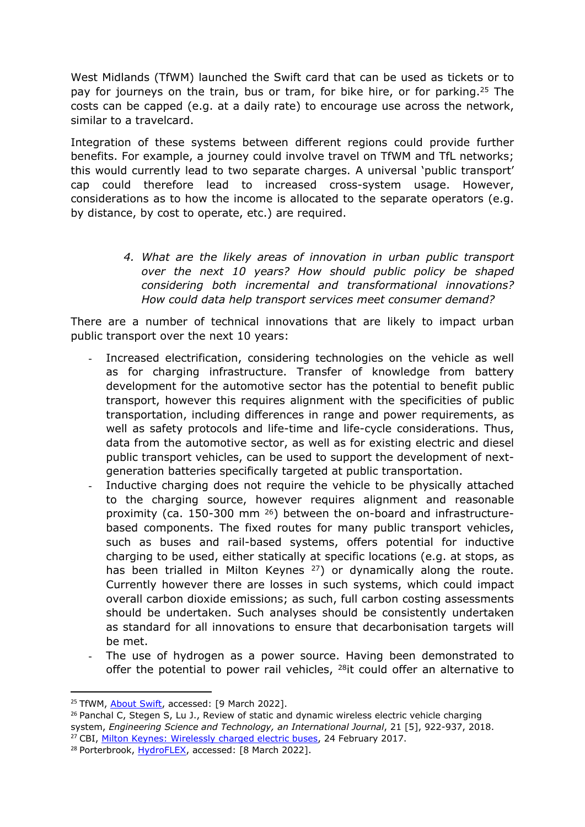West Midlands (TfWM) launched the Swift card that can be used as tickets or to pay for journeys on the train, bus or tram, for bike hire, or for parking.<sup>25</sup> The costs can be capped (e.g. at a daily rate) to encourage use across the network, similar to a travelcard.

Integration of these systems between different regions could provide further benefits. For example, a journey could involve travel on TfWM and TfL networks; this would currently lead to two separate charges. A universal 'public transport' cap could therefore lead to increased cross-system usage. However, considerations as to how the income is allocated to the separate operators (e.g. by distance, by cost to operate, etc.) are required.

> *4. What are the likely areas of innovation in urban public transport over the next 10 years? How should public policy be shaped considering both incremental and transformational innovations? How could data help transport services meet consumer demand?*

There are a number of technical innovations that are likely to impact urban public transport over the next 10 years:

- Increased electrification, considering technologies on the vehicle as well as for charging infrastructure. Transfer of knowledge from battery development for the automotive sector has the potential to benefit public transport, however this requires alignment with the specificities of public transportation, including differences in range and power requirements, as well as safety protocols and life-time and life-cycle considerations. Thus, data from the automotive sector, as well as for existing electric and diesel public transport vehicles, can be used to support the development of nextgeneration batteries specifically targeted at public transportation.
- Inductive charging does not require the vehicle to be physically attached to the charging source, however requires alignment and reasonable proximity (ca. 150-300 mm <sup>26</sup>) between the on-board and infrastructurebased components. The fixed routes for many public transport vehicles, such as buses and rail-based systems, offers potential for inductive charging to be used, either statically at specific locations (e.g. at stops, as has been trialled in Milton Keynes <sup>27</sup>) or dynamically along the route. Currently however there are losses in such systems, which could impact overall carbon dioxide emissions; as such, full carbon costing assessments should be undertaken. Such analyses should be consistently undertaken as standard for all innovations to ensure that decarbonisation targets will be met.
- The use of hydrogen as a power source. Having been demonstrated to offer the potential to power rail vehicles, <sup>28</sup>it could offer an alternative to

<sup>&</sup>lt;sup>25</sup> TfWM, [About](https://www.tfwm.org.uk/swift-and-tickets/about-swift/) [Swift,](https://www.tfwm.org.uk/swift-and-tickets/about-swift/) accessed: [9 March 2022].

 $26$  Panchal C, Stegen S, Lu J., Review of static and dynamic wireless electric vehicle charging system, *Engineering Science and Technology, an International Journal*, 21 [5], 922-937, 2018. <sup>27</sup> CBI, [Milton](https://www.cbi.org.uk/articles/milton-keynes-wirelessly-charged-electric-buses/) [Keynes:](https://www.cbi.org.uk/articles/milton-keynes-wirelessly-charged-electric-buses/) [Wirelessly](https://www.cbi.org.uk/articles/milton-keynes-wirelessly-charged-electric-buses/) [charged](https://www.cbi.org.uk/articles/milton-keynes-wirelessly-charged-electric-buses/) [electric](https://www.cbi.org.uk/articles/milton-keynes-wirelessly-charged-electric-buses/) [buses,](https://www.cbi.org.uk/articles/milton-keynes-wirelessly-charged-electric-buses/) 24 February 2017.

<sup>28</sup> Porterbrook, [HydroFLEX,](https://www.porterbrook.co.uk/hydroflex-cop) accessed: [8 March 2022].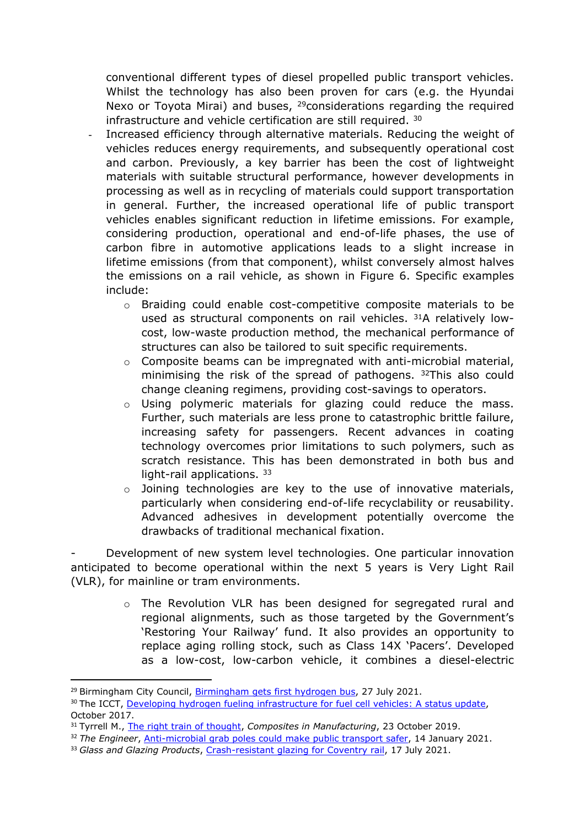conventional different types of diesel propelled public transport vehicles. Whilst the technology has also been proven for cars (e.g. the Hyundai Nexo or Toyota Mirai) and buses, <sup>29</sup>considerations regarding the required infrastructure and vehicle certification are still required. <sup>30</sup>

- Increased efficiency through alternative materials. Reducing the weight of vehicles reduces energy requirements, and subsequently operational cost and carbon. Previously, a key barrier has been the cost of lightweight materials with suitable structural performance, however developments in processing as well as in recycling of materials could support transportation in general. Further, the increased operational life of public transport vehicles enables significant reduction in lifetime emissions. For example, considering production, operational and end-of-life phases, the use of carbon fibre in automotive applications leads to a slight increase in lifetime emissions (from that component), whilst conversely almost halves the emissions on a rail vehicle, as shown in Figure 6. Specific examples include:
	- o Braiding could enable cost-competitive composite materials to be used as structural components on rail vehicles. <sup>31</sup>A relatively lowcost, low-waste production method, the mechanical performance of structures can also be tailored to suit specific requirements.
	- $\circ$  Composite beams can be impregnated with anti-microbial material, minimising the risk of the spread of pathogens. <sup>32</sup>This also could change cleaning regimens, providing cost-savings to operators.
	- o Using polymeric materials for glazing could reduce the mass. Further, such materials are less prone to catastrophic brittle failure, increasing safety for passengers. Recent advances in coating technology overcomes prior limitations to such polymers, such as scratch resistance. This has been demonstrated in both bus and light-rail applications. 33
	- o Joining technologies are key to the use of innovative materials, particularly when considering end-of-life recyclability or reusability. Advanced adhesives in development potentially overcome the drawbacks of traditional mechanical fixation.

- Development of new system level technologies. One particular innovation anticipated to become operational within the next 5 years is Very Light Rail (VLR), for mainline or tram environments.

> o The Revolution VLR has been designed for segregated rural and regional alignments, such as those targeted by the Government's 'Restoring Your Railway' fund. It also provides an opportunity to replace aging rolling stock, such as Class 14X 'Pacers'. Developed as a low-cost, low-carbon vehicle, it combines a diesel-electric

<sup>&</sup>lt;sup>29</sup> [Birmingham](https://www.birmingham.gov.uk/news/article/932/birmingham_gets_first_hydrogen_bus) City Council, Birmingham [gets](https://www.birmingham.gov.uk/news/article/932/birmingham_gets_first_hydrogen_bus) [first](https://www.birmingham.gov.uk/news/article/932/birmingham_gets_first_hydrogen_bus) [hydrogen](https://www.birmingham.gov.uk/news/article/932/birmingham_gets_first_hydrogen_bus) [bus,](https://www.birmingham.gov.uk/news/article/932/birmingham_gets_first_hydrogen_bus) 27 July 2021.

<sup>&</sup>lt;sup>30</sup> The ICCT, [Developing](https://theicct.org/sites/default/files/publications/Hydrogen-infrastructure-status-update_ICCT-briefing_04102017_vF.pdf) [hydrogen](https://theicct.org/sites/default/files/publications/Hydrogen-infrastructure-status-update_ICCT-briefing_04102017_vF.pdf) [fueling](https://theicct.org/sites/default/files/publications/Hydrogen-infrastructure-status-update_ICCT-briefing_04102017_vF.pdf) [infrastructure](https://theicct.org/sites/default/files/publications/Hydrogen-infrastructure-status-update_ICCT-briefing_04102017_vF.pdf) [for](https://theicct.org/sites/default/files/publications/Hydrogen-infrastructure-status-update_ICCT-briefing_04102017_vF.pdf) [fuel](https://theicct.org/sites/default/files/publications/Hydrogen-infrastructure-status-update_ICCT-briefing_04102017_vF.pdf) [cell](https://theicct.org/sites/default/files/publications/Hydrogen-infrastructure-status-update_ICCT-briefing_04102017_vF.pdf) [vehicles:](https://theicct.org/sites/default/files/publications/Hydrogen-infrastructure-status-update_ICCT-briefing_04102017_vF.pdf) [A](https://theicct.org/sites/default/files/publications/Hydrogen-infrastructure-status-update_ICCT-briefing_04102017_vF.pdf) [status](https://theicct.org/sites/default/files/publications/Hydrogen-infrastructure-status-update_ICCT-briefing_04102017_vF.pdf) [update,](https://theicct.org/sites/default/files/publications/Hydrogen-infrastructure-status-update_ICCT-briefing_04102017_vF.pdf) October 2017.

<sup>31</sup> Tyrrell M., [The](https://www.composites.media/brainstorm-project-lightweight-very-light-rail-vehicle-frames/) [right](https://www.composites.media/brainstorm-project-lightweight-very-light-rail-vehicle-frames/) [train](https://www.composites.media/brainstorm-project-lightweight-very-light-rail-vehicle-frames/) [of](https://www.composites.media/brainstorm-project-lightweight-very-light-rail-vehicle-frames/) [thought](https://www.composites.media/brainstorm-project-lightweight-very-light-rail-vehicle-frames/), *Composites in Manufacturing*, 23 October 2019.

<sup>32</sup> *The Engineer*, [Anti-microbial](https://www.theengineer.co.uk/lightweight-composite-grab-poles-anti-microbial-wmg/) [grab](https://www.theengineer.co.uk/lightweight-composite-grab-poles-anti-microbial-wmg/) [poles](https://www.theengineer.co.uk/lightweight-composite-grab-poles-anti-microbial-wmg/) [could](https://www.theengineer.co.uk/lightweight-composite-grab-poles-anti-microbial-wmg/) [make](https://www.theengineer.co.uk/lightweight-composite-grab-poles-anti-microbial-wmg/) [public](https://www.theengineer.co.uk/lightweight-composite-grab-poles-anti-microbial-wmg/) [transport](https://www.theengineer.co.uk/lightweight-composite-grab-poles-anti-microbial-wmg/) [safer](https://www.theengineer.co.uk/lightweight-composite-grab-poles-anti-microbial-wmg/), 14 January 2021.

<sup>33</sup> *Glass and Glazing Products*, [Crash-resistant](https://www.ggpmag.com/installations/crash-resistant-glazing-for-coventry-rail) [glazing](https://www.ggpmag.com/installations/crash-resistant-glazing-for-coventry-rail) [for](https://www.ggpmag.com/installations/crash-resistant-glazing-for-coventry-rail) [Coventry](https://www.ggpmag.com/installations/crash-resistant-glazing-for-coventry-rail) [rail](https://www.ggpmag.com/installations/crash-resistant-glazing-for-coventry-rail), 17 July 2021.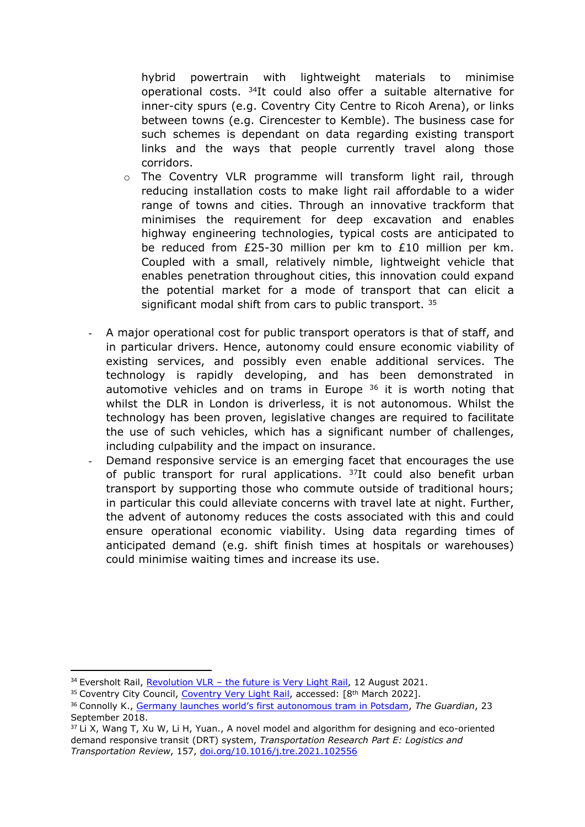hybrid powertrain with lightweight materials to minimise operational costs. <sup>34</sup>It could also offer a suitable alternative for inner-city spurs (e.g. Coventry City Centre to Ricoh Arena), or links between towns (e.g. Cirencester to Kemble). The business case for such schemes is dependant on data regarding existing transport links and the ways that people currently travel along those corridors.

- o The Coventry VLR programme will transform light rail, through reducing installation costs to make light rail affordable to a wider range of towns and cities. Through an innovative trackform that minimises the requirement for deep excavation and enables highway engineering technologies, typical costs are anticipated to be reduced from £25-30 million per km to £10 million per km. Coupled with a small, relatively nimble, lightweight vehicle that enables penetration throughout cities, this innovation could expand the potential market for a mode of transport that can elicit a significant modal shift from cars to public transport. 35
- A major operational cost for public transport operators is that of staff, and in particular drivers. Hence, autonomy could ensure economic viability of existing services, and possibly even enable additional services. The technology is rapidly developing, and has been demonstrated in automotive vehicles and on trams in Europe <sup>36</sup> it is worth noting that whilst the DLR in London is driverless, it is not autonomous. Whilst the technology has been proven, legislative changes are required to facilitate the use of such vehicles, which has a significant number of challenges, including culpability and the impact on insurance.
- Demand responsive service is an emerging facet that encourages the use of public transport for rural applications. <sup>37</sup>It could also benefit urban transport by supporting those who commute outside of traditional hours; in particular this could alleviate concerns with travel late at night. Further, the advent of autonomy reduces the costs associated with this and could ensure operational economic viability. Using data regarding times of anticipated demand (e.g. shift finish times at hospitals or warehouses) could minimise waiting times and increase its use.

 $34$  Eversholt Rail, [Revolution](https://eversholtrail.co.uk/news/revolution-vlr-the-future-is-very-light-rail/) [VLR](https://eversholtrail.co.uk/news/revolution-vlr-the-future-is-very-light-rail/) [–](https://eversholtrail.co.uk/news/revolution-vlr-the-future-is-very-light-rail/) [the](https://eversholtrail.co.uk/news/revolution-vlr-the-future-is-very-light-rail/) [future](https://eversholtrail.co.uk/news/revolution-vlr-the-future-is-very-light-rail/) [is](https://eversholtrail.co.uk/news/revolution-vlr-the-future-is-very-light-rail/) [Very](https://eversholtrail.co.uk/news/revolution-vlr-the-future-is-very-light-rail/) [Light](https://eversholtrail.co.uk/news/revolution-vlr-the-future-is-very-light-rail/) [Rail](https://eversholtrail.co.uk/news/revolution-vlr-the-future-is-very-light-rail/), 12 August 2021.

<sup>&</sup>lt;sup>35</sup> [Coventry](https://www.coventry.gov.uk/regeneration-1/light-rail) City Council, Coventry [Very](https://www.coventry.gov.uk/regeneration-1/light-rail) [Light](https://www.coventry.gov.uk/regeneration-1/light-rail) [Rail,](https://www.coventry.gov.uk/regeneration-1/light-rail) accessed: [8<sup>th</sup> March 2022].

<sup>36</sup> Connolly K., [Germany](https://www.theguardian.com/world/2018/sep/23/potsdam-inside-the-worlds-first-autonomous-tram) [launches](https://www.theguardian.com/world/2018/sep/23/potsdam-inside-the-worlds-first-autonomous-tram) [world's](https://www.theguardian.com/world/2018/sep/23/potsdam-inside-the-worlds-first-autonomous-tram) [first](https://www.theguardian.com/world/2018/sep/23/potsdam-inside-the-worlds-first-autonomous-tram) [autonomous](https://www.theguardian.com/world/2018/sep/23/potsdam-inside-the-worlds-first-autonomous-tram) [tram](https://www.theguardian.com/world/2018/sep/23/potsdam-inside-the-worlds-first-autonomous-tram) [in](https://www.theguardian.com/world/2018/sep/23/potsdam-inside-the-worlds-first-autonomous-tram) [Potsdam,](https://www.theguardian.com/world/2018/sep/23/potsdam-inside-the-worlds-first-autonomous-tram) *The Guardian*, 23 September 2018.

 $37$  Li X, Wang T, Xu W, Li H, Yuan., A novel model and algorithm for designing and eco-oriented demand responsive transit (DRT) system, *Transportation Research Part E: Logistics and Transportation Review*, 157, [doi.org/10.1016/j.tre.2021.102556](https://doi.org/10.1016/j.tre.2021.102556)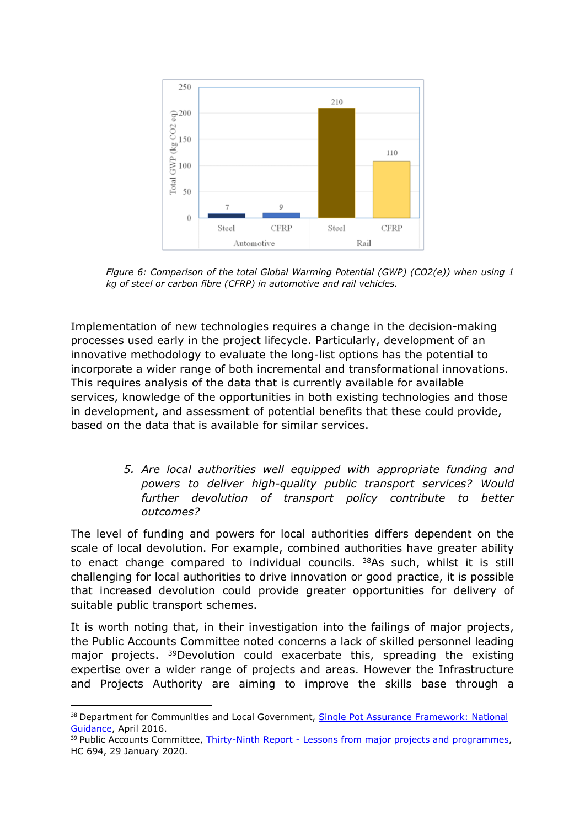

*Figure 6: Comparison of the total Global Warming Potential (GWP) (CO2(e)) when using 1 kg of steel or carbon fibre (CFRP) in automotive and rail vehicles.*

Implementation of new technologies requires a change in the decision-making processes used early in the project lifecycle. Particularly, development of an innovative methodology to evaluate the long-list options has the potential to incorporate a wider range of both incremental and transformational innovations. This requires analysis of the data that is currently available for available services, knowledge of the opportunities in both existing technologies and those in development, and assessment of potential benefits that these could provide, based on the data that is available for similar services.

> *5. Are local authorities well equipped with appropriate funding and powers to deliver high-quality public transport services? Would further devolution of transport policy contribute to better outcomes?*

The level of funding and powers for local authorities differs dependent on the scale of local devolution. For example, combined authorities have greater ability to enact change compared to individual councils. <sup>38</sup>As such, whilst it is still challenging for local authorities to drive innovation or good practice, it is possible that increased devolution could provide greater opportunities for delivery of suitable public transport schemes.

It is worth noting that, in their investigation into the failings of major projects, the Public Accounts Committee noted concerns a lack of skilled personnel leading major projects. <sup>39</sup>Devolution could exacerbate this, spreading the existing expertise over a wider range of projects and areas. However the Infrastructure and Projects Authority are aiming to improve the skills base through a

<sup>&</sup>lt;sup>38</sup> Department for Communities and Local Government, [Single](https://assets.publishing.service.gov.uk/government/uploads/system/uploads/attachment_data/file/516215/Single_Pot_Assurance_Framework.pdf) [Pot](https://assets.publishing.service.gov.uk/government/uploads/system/uploads/attachment_data/file/516215/Single_Pot_Assurance_Framework.pdf) [Assurance](https://assets.publishing.service.gov.uk/government/uploads/system/uploads/attachment_data/file/516215/Single_Pot_Assurance_Framework.pdf) [Framework:](https://assets.publishing.service.gov.uk/government/uploads/system/uploads/attachment_data/file/516215/Single_Pot_Assurance_Framework.pdf) [National](https://assets.publishing.service.gov.uk/government/uploads/system/uploads/attachment_data/file/516215/Single_Pot_Assurance_Framework.pdf) [Guidance,](https://assets.publishing.service.gov.uk/government/uploads/system/uploads/attachment_data/file/516215/Single_Pot_Assurance_Framework.pdf) April 2016.

<sup>&</sup>lt;sup>39</sup> Public Accounts Committee, [Thirty-Ninth](https://committees.parliament.uk/work/762/lessons-from-major-projects-and-programmes/publications/) [Report](https://committees.parliament.uk/work/762/lessons-from-major-projects-and-programmes/publications/) [-](https://committees.parliament.uk/work/762/lessons-from-major-projects-and-programmes/publications/) [Lessons](https://committees.parliament.uk/work/762/lessons-from-major-projects-and-programmes/publications/) [from](https://committees.parliament.uk/work/762/lessons-from-major-projects-and-programmes/publications/) [major](https://committees.parliament.uk/work/762/lessons-from-major-projects-and-programmes/publications/) [projects](https://committees.parliament.uk/work/762/lessons-from-major-projects-and-programmes/publications/) [and](https://committees.parliament.uk/work/762/lessons-from-major-projects-and-programmes/publications/) [programmes,](https://committees.parliament.uk/work/762/lessons-from-major-projects-and-programmes/publications/) HC 694, 29 January 2020.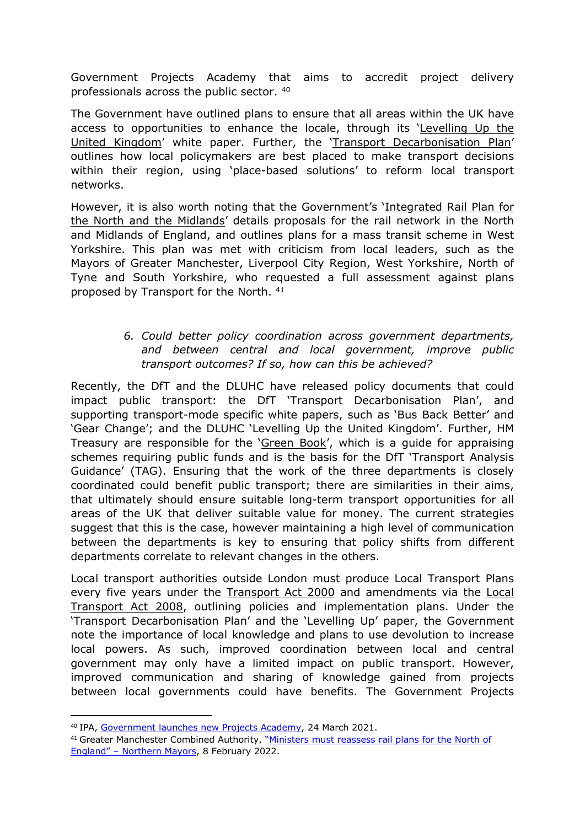Government Projects Academy that aims to accredit project delivery professionals across the public sector. <sup>40</sup>

The Government have outlined plans to ensure that all areas within the UK have access to opportunities to enhance the locale, through its 'Levelling Up the United Kingdom' white paper. Further, the 'Transport Decarbonisation Plan' outlines how local policymakers are best placed to make transport decisions within their region, using 'place-based solutions' to reform local transport networks.

However, it is also worth noting that the Government's 'Integrated Rail Plan for the North and the Midlands' details proposals for the rail network in the North and Midlands of England, and outlines plans for a mass transit scheme in West Yorkshire. This plan was met with criticism from local leaders, such as the Mayors of Greater Manchester, Liverpool City Region, West Yorkshire, North of Tyne and South Yorkshire, who requested a full assessment against plans proposed by Transport for the North. <sup>41</sup>

# *6. Could better policy coordination across government departments, and between central and local government, improve public transport outcomes? If so, how can this be achieved?*

Recently, the DfT and the DLUHC have released policy documents that could impact public transport: the DfT 'Transport Decarbonisation Plan', and supporting transport-mode specific white papers, such as 'Bus Back Better' and 'Gear Change'; and the DLUHC 'Levelling Up the United Kingdom'. Further, HM Treasury are responsible for the 'Green Book', which is a guide for appraising schemes requiring public funds and is the basis for the DfT 'Transport Analysis Guidance' (TAG). Ensuring that the work of the three departments is closely coordinated could benefit public transport; there are similarities in their aims, that ultimately should ensure suitable long-term transport opportunities for all areas of the UK that deliver suitable value for money. The current strategies suggest that this is the case, however maintaining a high level of communication between the departments is key to ensuring that policy shifts from different departments correlate to relevant changes in the others.

Local transport authorities outside London must produce Local Transport Plans every five years under the Transport Act 2000 and amendments via the Local Transport Act 2008, outlining policies and implementation plans. Under the 'Transport Decarbonisation Plan' and the 'Levelling Up' paper, the Government note the importance of local knowledge and plans to use devolution to increase local powers. As such, improved coordination between local and central government may only have a limited impact on public transport. However, improved communication and sharing of knowledge gained from projects between local governments could have benefits. The Government Projects

<sup>40</sup> IPA, [Government](https://www.gov.uk/government/news/government-launches-new-projects-academy) [launches](https://www.gov.uk/government/news/government-launches-new-projects-academy) [new](https://www.gov.uk/government/news/government-launches-new-projects-academy) [Projects](https://www.gov.uk/government/news/government-launches-new-projects-academy) [Academy,](https://www.gov.uk/government/news/government-launches-new-projects-academy) 24 March 2021.

<sup>&</sup>lt;sup>41</sup> Greater Manchester Combined Authority, ["Ministers](https://www.greatermanchester-ca.gov.uk/news/ministers-must-reassess-rail-plans-for-the-north-of-england-northern-mayors/) [must](https://www.greatermanchester-ca.gov.uk/news/ministers-must-reassess-rail-plans-for-the-north-of-england-northern-mayors/) [reassess](https://www.greatermanchester-ca.gov.uk/news/ministers-must-reassess-rail-plans-for-the-north-of-england-northern-mayors/) [rail](https://www.greatermanchester-ca.gov.uk/news/ministers-must-reassess-rail-plans-for-the-north-of-england-northern-mayors/) [plans](https://www.greatermanchester-ca.gov.uk/news/ministers-must-reassess-rail-plans-for-the-north-of-england-northern-mayors/) [for](https://www.greatermanchester-ca.gov.uk/news/ministers-must-reassess-rail-plans-for-the-north-of-england-northern-mayors/) [the](https://www.greatermanchester-ca.gov.uk/news/ministers-must-reassess-rail-plans-for-the-north-of-england-northern-mayors/) [North](https://www.greatermanchester-ca.gov.uk/news/ministers-must-reassess-rail-plans-for-the-north-of-england-northern-mayors/) [of](https://www.greatermanchester-ca.gov.uk/news/ministers-must-reassess-rail-plans-for-the-north-of-england-northern-mayors/) [England"](https://www.greatermanchester-ca.gov.uk/news/ministers-must-reassess-rail-plans-for-the-north-of-england-northern-mayors/) [–](https://www.greatermanchester-ca.gov.uk/news/ministers-must-reassess-rail-plans-for-the-north-of-england-northern-mayors/) [Northern](https://www.greatermanchester-ca.gov.uk/news/ministers-must-reassess-rail-plans-for-the-north-of-england-northern-mayors/) [Mayors,](https://www.greatermanchester-ca.gov.uk/news/ministers-must-reassess-rail-plans-for-the-north-of-england-northern-mayors/) 8 February 2022.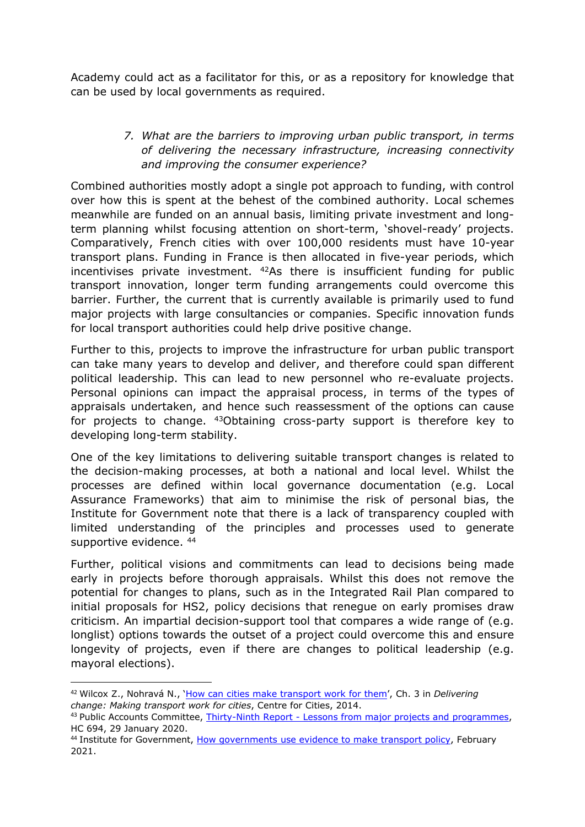Academy could act as a facilitator for this, or as a repository for knowledge that can be used by local governments as required.

## *7. What are the barriers to improving urban public transport, in terms of delivering the necessary infrastructure, increasing connectivity and improving the consumer experience?*

Combined authorities mostly adopt a single pot approach to funding, with control over how this is spent at the behest of the combined authority. Local schemes meanwhile are funded on an annual basis, limiting private investment and longterm planning whilst focusing attention on short-term, 'shovel-ready' projects. Comparatively, French cities with over 100,000 residents must have 10-year transport plans. Funding in France is then allocated in five-year periods, which incentivises private investment. <sup>42</sup>As there is insufficient funding for public transport innovation, longer term funding arrangements could overcome this barrier. Further, the current that is currently available is primarily used to fund major projects with large consultancies or companies. Specific innovation funds for local transport authorities could help drive positive change.

Further to this, projects to improve the infrastructure for urban public transport can take many years to develop and deliver, and therefore could span different political leadership. This can lead to new personnel who re-evaluate projects. Personal opinions can impact the appraisal process, in terms of the types of appraisals undertaken, and hence such reassessment of the options can cause for projects to change. <sup>43</sup>Obtaining cross-party support is therefore key to developing long-term stability.

One of the key limitations to delivering suitable transport changes is related to the decision-making processes, at both a national and local level. Whilst the processes are defined within local governance documentation (e.g. Local Assurance Frameworks) that aim to minimise the risk of personal bias, the Institute for Government note that there is a lack of transparency coupled with limited understanding of the principles and processes used to generate supportive evidence. <sup>44</sup>

Further, political visions and commitments can lead to decisions being made early in projects before thorough appraisals. Whilst this does not remove the potential for changes to plans, such as in the Integrated Rail Plan compared to initial proposals for HS2, policy decisions that renegue on early promises draw criticism. An impartial decision-support tool that compares a wide range of (e.g. longlist) options towards the outset of a project could overcome this and ensure longevity of projects, even if there are changes to political leadership (e.g. mayoral elections).

<sup>42</sup> Wilcox Z., Nohravá N., ['How](https://www.centreforcities.org/reader/delivering-change-making-transport-work-for-cities/can-cities-make-transport-work/) [can](https://www.centreforcities.org/reader/delivering-change-making-transport-work-for-cities/can-cities-make-transport-work/) [cities](https://www.centreforcities.org/reader/delivering-change-making-transport-work-for-cities/can-cities-make-transport-work/) [make](https://www.centreforcities.org/reader/delivering-change-making-transport-work-for-cities/can-cities-make-transport-work/) [transport](https://www.centreforcities.org/reader/delivering-change-making-transport-work-for-cities/can-cities-make-transport-work/) [work](https://www.centreforcities.org/reader/delivering-change-making-transport-work-for-cities/can-cities-make-transport-work/) [for](https://www.centreforcities.org/reader/delivering-change-making-transport-work-for-cities/can-cities-make-transport-work/) [them](https://www.centreforcities.org/reader/delivering-change-making-transport-work-for-cities/can-cities-make-transport-work/)', Ch. 3 in *Delivering change: Making transport work for cities*, Centre for Cities, 2014.

<sup>43</sup> Public Accounts Committee, [Thirty-Ninth](https://committees.parliament.uk/work/762/lessons-from-major-projects-and-programmes/publications/) [Report](https://committees.parliament.uk/work/762/lessons-from-major-projects-and-programmes/publications/) [-](https://committees.parliament.uk/work/762/lessons-from-major-projects-and-programmes/publications/) [Lessons](https://committees.parliament.uk/work/762/lessons-from-major-projects-and-programmes/publications/) [from](https://committees.parliament.uk/work/762/lessons-from-major-projects-and-programmes/publications/) [major](https://committees.parliament.uk/work/762/lessons-from-major-projects-and-programmes/publications/) [projects](https://committees.parliament.uk/work/762/lessons-from-major-projects-and-programmes/publications/) [and](https://committees.parliament.uk/work/762/lessons-from-major-projects-and-programmes/publications/) [programmes,](https://committees.parliament.uk/work/762/lessons-from-major-projects-and-programmes/publications/) HC 694, 29 January 2020.

<sup>44</sup> Institute for Government, [How](https://www.instituteforgovernment.org.uk/sites/default/files/publications/evidence-transport-policy.pdf) [governments](https://www.instituteforgovernment.org.uk/sites/default/files/publications/evidence-transport-policy.pdf) [use](https://www.instituteforgovernment.org.uk/sites/default/files/publications/evidence-transport-policy.pdf) [evidence](https://www.instituteforgovernment.org.uk/sites/default/files/publications/evidence-transport-policy.pdf) [to](https://www.instituteforgovernment.org.uk/sites/default/files/publications/evidence-transport-policy.pdf) [make](https://www.instituteforgovernment.org.uk/sites/default/files/publications/evidence-transport-policy.pdf) [transport](https://www.instituteforgovernment.org.uk/sites/default/files/publications/evidence-transport-policy.pdf) [policy,](https://www.instituteforgovernment.org.uk/sites/default/files/publications/evidence-transport-policy.pdf) February 2021.